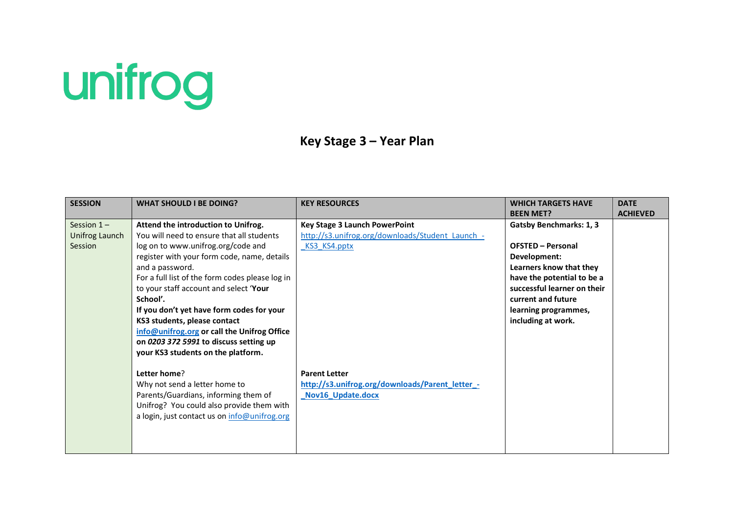## unifrog

## **Key Stage 3 – Year Plan**

| <b>SESSION</b> | <b>WHAT SHOULD I BE DOING?</b>                  | <b>KEY RESOURCES</b>                             | <b>WHICH TARGETS HAVE</b>      | <b>DATE</b>     |
|----------------|-------------------------------------------------|--------------------------------------------------|--------------------------------|-----------------|
|                |                                                 |                                                  | <b>BEEN MET?</b>               | <b>ACHIEVED</b> |
| Session $1 -$  | Attend the introduction to Unifrog.             | <b>Key Stage 3 Launch PowerPoint</b>             | <b>Gatsby Benchmarks: 1, 3</b> |                 |
| Unifrog Launch | You will need to ensure that all students       | http://s3.unifrog.org/downloads/Student Launch - |                                |                 |
| Session        | log on to www.unifrog.org/code and              | KS3 KS4.pptx                                     | <b>OFSTED - Personal</b>       |                 |
|                | register with your form code, name, details     |                                                  | Development:                   |                 |
|                | and a password.                                 |                                                  | Learners know that they        |                 |
|                | For a full list of the form codes please log in |                                                  | have the potential to be a     |                 |
|                | to your staff account and select 'Your          |                                                  | successful learner on their    |                 |
|                | School'.                                        |                                                  | current and future             |                 |
|                | If you don't yet have form codes for your       |                                                  | learning programmes,           |                 |
|                | KS3 students, please contact                    |                                                  | including at work.             |                 |
|                | info@unifrog.org or call the Unifrog Office     |                                                  |                                |                 |
|                | on 0203 372 5991 to discuss setting up          |                                                  |                                |                 |
|                | your KS3 students on the platform.              |                                                  |                                |                 |
|                |                                                 |                                                  |                                |                 |
|                | Letter home?                                    | <b>Parent Letter</b>                             |                                |                 |
|                | Why not send a letter home to                   | http://s3.unifrog.org/downloads/Parent_letter_-  |                                |                 |
|                | Parents/Guardians, informing them of            | Nov16 Update.docx                                |                                |                 |
|                | Unifrog? You could also provide them with       |                                                  |                                |                 |
|                | a login, just contact us on info@unifrog.org    |                                                  |                                |                 |
|                |                                                 |                                                  |                                |                 |
|                |                                                 |                                                  |                                |                 |
|                |                                                 |                                                  |                                |                 |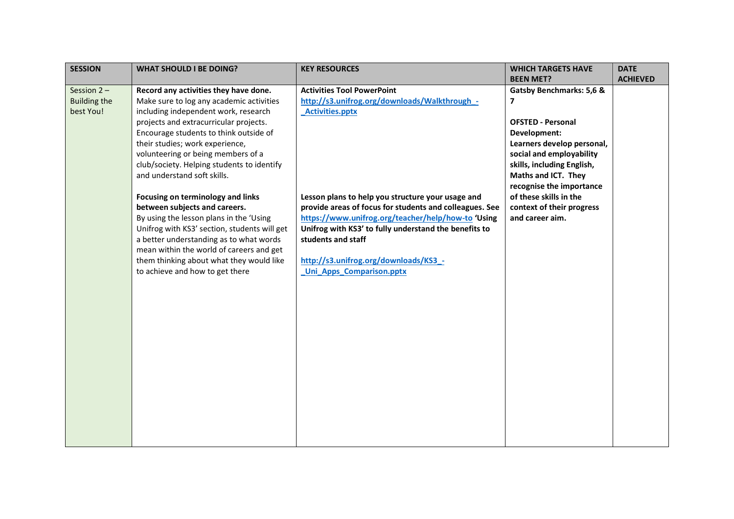| <b>SESSION</b>      | <b>WHAT SHOULD I BE DOING?</b>                                                          | <b>KEY RESOURCES</b>                                                        | <b>WHICH TARGETS HAVE</b>  | <b>DATE</b>     |
|---------------------|-----------------------------------------------------------------------------------------|-----------------------------------------------------------------------------|----------------------------|-----------------|
|                     |                                                                                         |                                                                             | <b>BEEN MET?</b>           | <b>ACHIEVED</b> |
| Session $2 -$       | Record any activities they have done.                                                   | <b>Activities Tool PowerPoint</b>                                           | Gatsby Benchmarks: 5,6 &   |                 |
| <b>Building the</b> | Make sure to log any academic activities                                                | http://s3.unifrog.org/downloads/Walkthrough -                               | 7                          |                 |
| best You!           | including independent work, research                                                    | <b>Activities.pptx</b>                                                      |                            |                 |
|                     | projects and extracurricular projects.                                                  |                                                                             | <b>OFSTED - Personal</b>   |                 |
|                     | Encourage students to think outside of                                                  |                                                                             | Development:               |                 |
|                     | their studies; work experience,                                                         |                                                                             | Learners develop personal, |                 |
|                     | volunteering or being members of a                                                      |                                                                             | social and employability   |                 |
|                     | club/society. Helping students to identify                                              |                                                                             | skills, including English, |                 |
|                     | and understand soft skills.                                                             |                                                                             | Maths and ICT. They        |                 |
|                     |                                                                                         |                                                                             | recognise the importance   |                 |
|                     | Focusing on terminology and links                                                       | Lesson plans to help you structure your usage and                           | of these skills in the     |                 |
|                     | between subjects and careers.                                                           | provide areas of focus for students and colleagues. See                     | context of their progress  |                 |
|                     | By using the lesson plans in the 'Using                                                 | https://www.unifrog.org/teacher/help/how-to 'Using                          | and career aim.            |                 |
|                     | Unifrog with KS3' section, students will get<br>a better understanding as to what words | Unifrog with KS3' to fully understand the benefits to<br>students and staff |                            |                 |
|                     | mean within the world of careers and get                                                |                                                                             |                            |                 |
|                     | them thinking about what they would like                                                | http://s3.unifrog.org/downloads/KS3 -                                       |                            |                 |
|                     | to achieve and how to get there                                                         | <b>Uni Apps Comparison.pptx</b>                                             |                            |                 |
|                     |                                                                                         |                                                                             |                            |                 |
|                     |                                                                                         |                                                                             |                            |                 |
|                     |                                                                                         |                                                                             |                            |                 |
|                     |                                                                                         |                                                                             |                            |                 |
|                     |                                                                                         |                                                                             |                            |                 |
|                     |                                                                                         |                                                                             |                            |                 |
|                     |                                                                                         |                                                                             |                            |                 |
|                     |                                                                                         |                                                                             |                            |                 |
|                     |                                                                                         |                                                                             |                            |                 |
|                     |                                                                                         |                                                                             |                            |                 |
|                     |                                                                                         |                                                                             |                            |                 |
|                     |                                                                                         |                                                                             |                            |                 |
|                     |                                                                                         |                                                                             |                            |                 |
|                     |                                                                                         |                                                                             |                            |                 |
|                     |                                                                                         |                                                                             |                            |                 |
|                     |                                                                                         |                                                                             |                            |                 |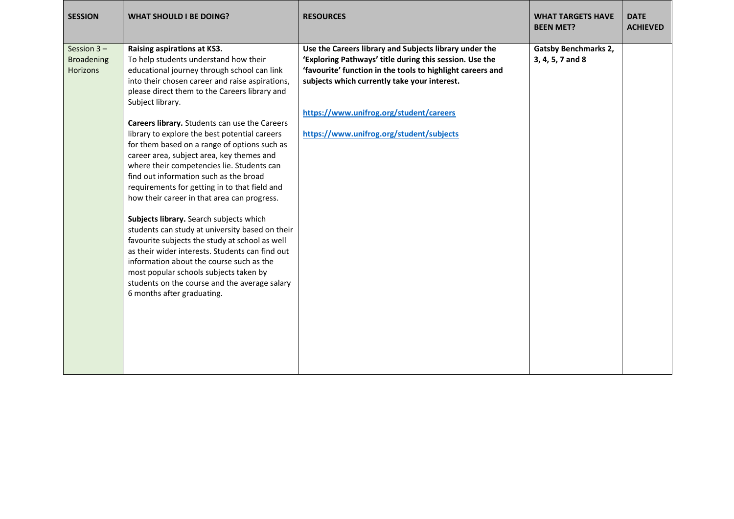| <b>SESSION</b>                                 | <b>WHAT SHOULD I BE DOING?</b>                                                                                                                                                                                                                                                                                                                                                                                                                                                                                                                                                                                                                                                                                                                                                                                                                                                                                                                                                                             | <b>RESOURCES</b>                                                                                                                                                                                                                                                                                                       | <b>WHAT TARGETS HAVE</b><br><b>BEEN MET?</b>    | <b>DATE</b><br><b>ACHIEVED</b> |
|------------------------------------------------|------------------------------------------------------------------------------------------------------------------------------------------------------------------------------------------------------------------------------------------------------------------------------------------------------------------------------------------------------------------------------------------------------------------------------------------------------------------------------------------------------------------------------------------------------------------------------------------------------------------------------------------------------------------------------------------------------------------------------------------------------------------------------------------------------------------------------------------------------------------------------------------------------------------------------------------------------------------------------------------------------------|------------------------------------------------------------------------------------------------------------------------------------------------------------------------------------------------------------------------------------------------------------------------------------------------------------------------|-------------------------------------------------|--------------------------------|
| Session $3 -$<br><b>Broadening</b><br>Horizons | Raising aspirations at KS3.<br>To help students understand how their<br>educational journey through school can link<br>into their chosen career and raise aspirations,<br>please direct them to the Careers library and<br>Subject library.<br>Careers library. Students can use the Careers<br>library to explore the best potential careers<br>for them based on a range of options such as<br>career area, subject area, key themes and<br>where their competencies lie. Students can<br>find out information such as the broad<br>requirements for getting in to that field and<br>how their career in that area can progress.<br>Subjects library. Search subjects which<br>students can study at university based on their<br>favourite subjects the study at school as well<br>as their wider interests. Students can find out<br>information about the course such as the<br>most popular schools subjects taken by<br>students on the course and the average salary<br>6 months after graduating. | Use the Careers library and Subjects library under the<br>'Exploring Pathways' title during this session. Use the<br>'favourite' function in the tools to highlight careers and<br>subjects which currently take your interest.<br>https://www.unifrog.org/student/careers<br>https://www.unifrog.org/student/subjects | <b>Gatsby Benchmarks 2,</b><br>3, 4, 5, 7 and 8 |                                |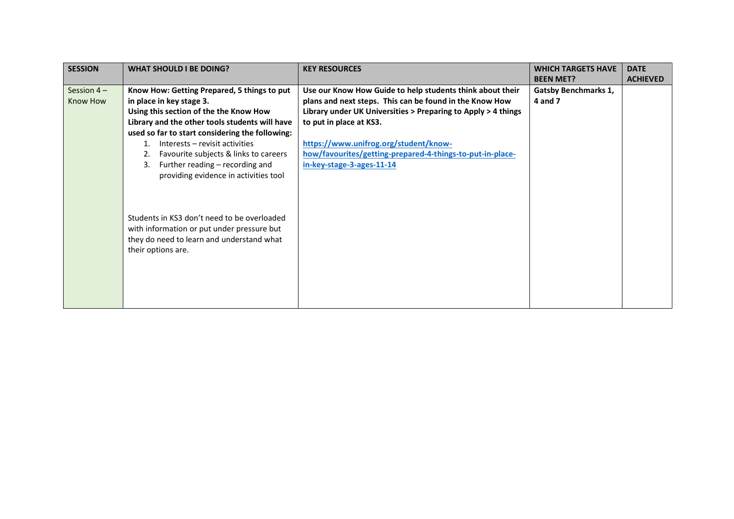| <b>SESSION</b> | <b>WHAT SHOULD I BE DOING?</b>                  | <b>KEY RESOURCES</b>                                          | <b>WHICH TARGETS HAVE</b>   | <b>DATE</b>     |
|----------------|-------------------------------------------------|---------------------------------------------------------------|-----------------------------|-----------------|
|                |                                                 |                                                               | <b>BEEN MET?</b>            | <b>ACHIEVED</b> |
| Session $4-$   | Know How: Getting Prepared, 5 things to put     | Use our Know How Guide to help students think about their     | <b>Gatsby Benchmarks 1,</b> |                 |
| Know How       | in place in key stage 3.                        | plans and next steps. This can be found in the Know How       | 4 and 7                     |                 |
|                | Using this section of the the Know How          | Library under UK Universities > Preparing to Apply > 4 things |                             |                 |
|                | Library and the other tools students will have  | to put in place at KS3.                                       |                             |                 |
|                | used so far to start considering the following: |                                                               |                             |                 |
|                | Interests – revisit activities                  | https://www.unifrog.org/student/know-                         |                             |                 |
|                | Favourite subjects & links to careers           | how/favourites/getting-prepared-4-things-to-put-in-place-     |                             |                 |
|                | Further reading - recording and<br>3.           | in-key-stage-3-ages-11-14                                     |                             |                 |
|                | providing evidence in activities tool           |                                                               |                             |                 |
|                |                                                 |                                                               |                             |                 |
|                |                                                 |                                                               |                             |                 |
|                |                                                 |                                                               |                             |                 |
|                | Students in KS3 don't need to be overloaded     |                                                               |                             |                 |
|                | with information or put under pressure but      |                                                               |                             |                 |
|                | they do need to learn and understand what       |                                                               |                             |                 |
|                | their options are.                              |                                                               |                             |                 |
|                |                                                 |                                                               |                             |                 |
|                |                                                 |                                                               |                             |                 |
|                |                                                 |                                                               |                             |                 |
|                |                                                 |                                                               |                             |                 |
|                |                                                 |                                                               |                             |                 |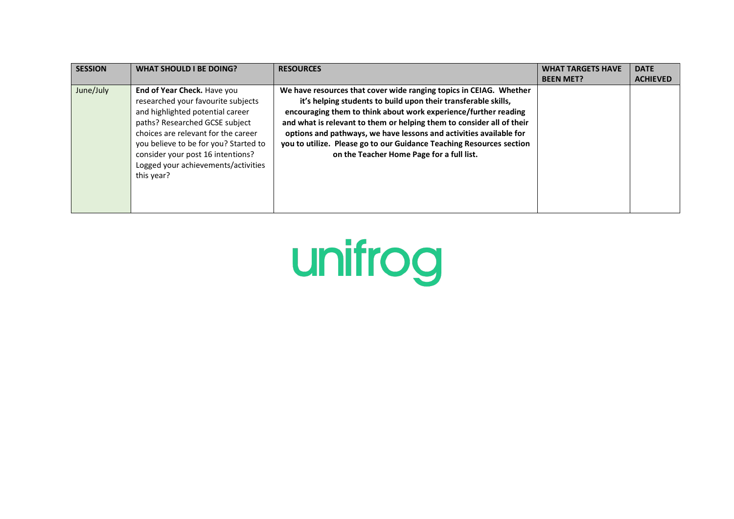| <b>SESSION</b> | <b>WHAT SHOULD I BE DOING?</b>                                                                                                                                                                                                                                                                                    | <b>RESOURCES</b>                                                                                                                                                                                                                                                                                                                                                                                                                                                            | <b>WHAT TARGETS HAVE</b><br><b>BEEN MET?</b> | <b>DATE</b><br><b>ACHIEVED</b> |
|----------------|-------------------------------------------------------------------------------------------------------------------------------------------------------------------------------------------------------------------------------------------------------------------------------------------------------------------|-----------------------------------------------------------------------------------------------------------------------------------------------------------------------------------------------------------------------------------------------------------------------------------------------------------------------------------------------------------------------------------------------------------------------------------------------------------------------------|----------------------------------------------|--------------------------------|
| June/July      | End of Year Check. Have you<br>researched your favourite subjects<br>and highlighted potential career<br>paths? Researched GCSE subject<br>choices are relevant for the career<br>you believe to be for you? Started to<br>consider your post 16 intentions?<br>Logged your achievements/activities<br>this year? | We have resources that cover wide ranging topics in CEIAG. Whether<br>it's helping students to build upon their transferable skills,<br>encouraging them to think about work experience/further reading<br>and what is relevant to them or helping them to consider all of their<br>options and pathways, we have lessons and activities available for<br>you to utilize. Please go to our Guidance Teaching Resources section<br>on the Teacher Home Page for a full list. |                                              |                                |

unifrog